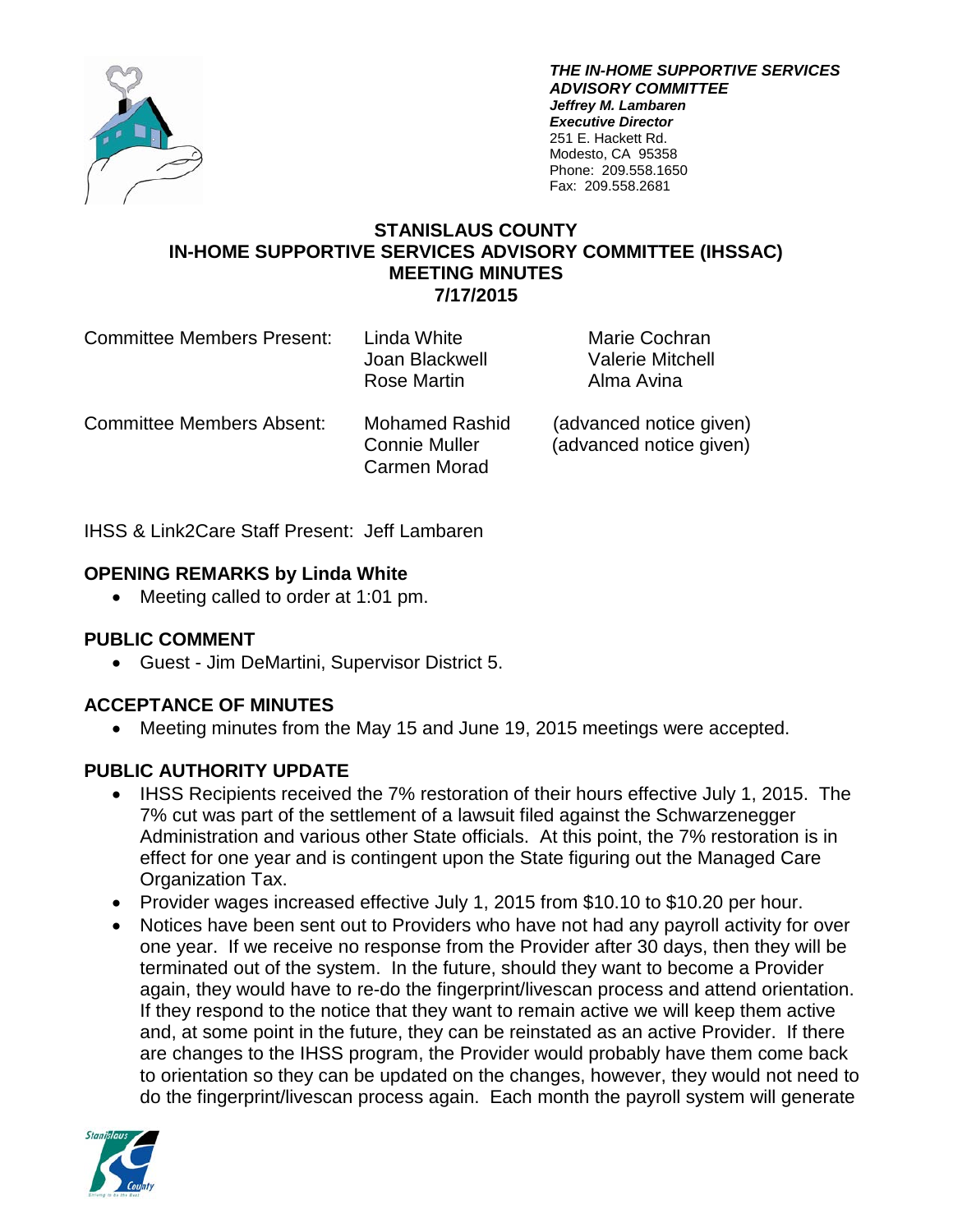

*THE IN-HOME SUPPORTIVE SERVICES ADVISORY COMMITTEE Jeffrey M. Lambaren Executive Director* 251 E. Hackett Rd. Modesto, CA 95358 Phone: 209.558.1650 Fax: 209.558.2681

### **STANISLAUS COUNTY IN-HOME SUPPORTIVE SERVICES ADVISORY COMMITTEE (IHSSAC) MEETING MINUTES 7/17/2015**

| <b>Committee Members Present:</b> | Linda White<br>Joan Blackwell<br>Rose Martin                  | Marie Cochran<br><b>Valerie Mitchell</b><br>Alma Avina |
|-----------------------------------|---------------------------------------------------------------|--------------------------------------------------------|
| <b>Committee Members Absent:</b>  | <b>Mohamed Rashid</b><br><b>Connie Muller</b><br>Carmen Morad | (advanced notice given)<br>(advanced notice given)     |

IHSS & Link2Care Staff Present: Jeff Lambaren

# **OPENING REMARKS by Linda White**

• Meeting called to order at 1:01 pm.

#### **PUBLIC COMMENT**

• Guest - Jim DeMartini, Supervisor District 5.

# **ACCEPTANCE OF MINUTES**

• Meeting minutes from the May 15 and June 19, 2015 meetings were accepted.

# **PUBLIC AUTHORITY UPDATE**

- IHSS Recipients received the 7% restoration of their hours effective July 1, 2015. The 7% cut was part of the settlement of a lawsuit filed against the Schwarzenegger Administration and various other State officials. At this point, the 7% restoration is in effect for one year and is contingent upon the State figuring out the Managed Care Organization Tax.
- Provider wages increased effective July 1, 2015 from \$10.10 to \$10.20 per hour.
- Notices have been sent out to Providers who have not had any payroll activity for over one year. If we receive no response from the Provider after 30 days, then they will be terminated out of the system. In the future, should they want to become a Provider again, they would have to re-do the fingerprint/livescan process and attend orientation. If they respond to the notice that they want to remain active we will keep them active and, at some point in the future, they can be reinstated as an active Provider. If there are changes to the IHSS program, the Provider would probably have them come back to orientation so they can be updated on the changes, however, they would not need to do the fingerprint/livescan process again. Each month the payroll system will generate

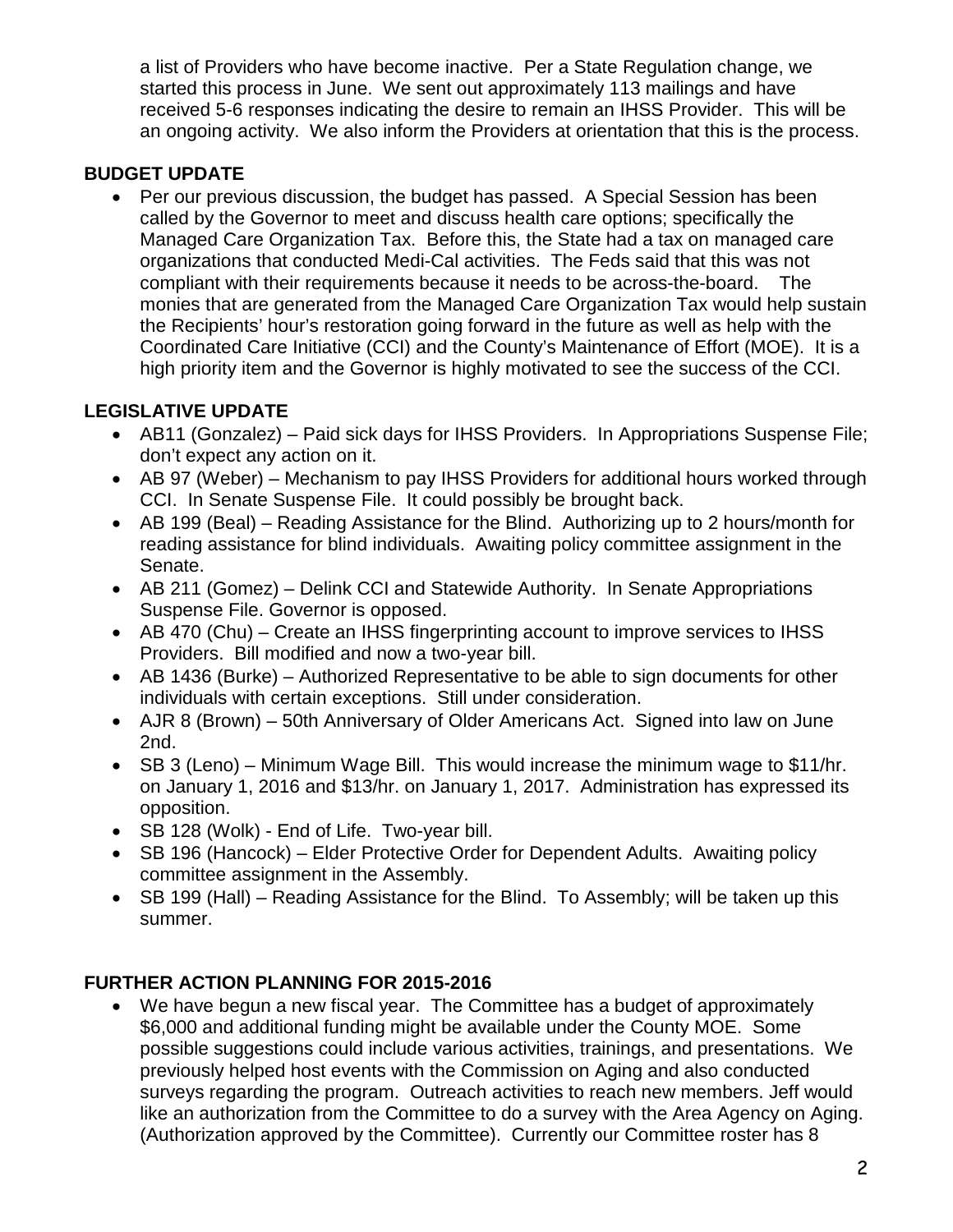a list of Providers who have become inactive. Per a State Regulation change, we started this process in June. We sent out approximately 113 mailings and have received 5-6 responses indicating the desire to remain an IHSS Provider. This will be an ongoing activity. We also inform the Providers at orientation that this is the process.

# **BUDGET UPDATE**

• Per our previous discussion, the budget has passed. A Special Session has been called by the Governor to meet and discuss health care options; specifically the Managed Care Organization Tax. Before this, the State had a tax on managed care organizations that conducted Medi-Cal activities. The Feds said that this was not compliant with their requirements because it needs to be across-the-board. The monies that are generated from the Managed Care Organization Tax would help sustain the Recipients' hour's restoration going forward in the future as well as help with the Coordinated Care Initiative (CCI) and the County's Maintenance of Effort (MOE). It is a high priority item and the Governor is highly motivated to see the success of the CCI.

# **LEGISLATIVE UPDATE**

- AB11 (Gonzalez) Paid sick days for IHSS Providers. In Appropriations Suspense File; don't expect any action on it.
- AB 97 (Weber) Mechanism to pay IHSS Providers for additional hours worked through CCI. In Senate Suspense File. It could possibly be brought back.
- AB 199 (Beal) Reading Assistance for the Blind. Authorizing up to 2 hours/month for reading assistance for blind individuals. Awaiting policy committee assignment in the Senate.
- AB 211 (Gomez) Delink CCI and Statewide Authority. In Senate Appropriations Suspense File. Governor is opposed.
- AB 470 (Chu) Create an IHSS fingerprinting account to improve services to IHSS Providers. Bill modified and now a two-year bill.
- AB 1436 (Burke) Authorized Representative to be able to sign documents for other individuals with certain exceptions. Still under consideration.
- AJR 8 (Brown) 50th Anniversary of Older Americans Act. Signed into law on June 2nd.
- SB 3 (Leno) Minimum Wage Bill. This would increase the minimum wage to \$11/hr. on January 1, 2016 and \$13/hr. on January 1, 2017. Administration has expressed its opposition.
- SB 128 (Wolk) End of Life. Two-year bill.
- SB 196 (Hancock) Elder Protective Order for Dependent Adults. Awaiting policy committee assignment in the Assembly.
- SB 199 (Hall) Reading Assistance for the Blind. To Assembly; will be taken up this summer.

# **FURTHER ACTION PLANNING FOR 2015-2016**

• We have begun a new fiscal year. The Committee has a budget of approximately \$6,000 and additional funding might be available under the County MOE. Some possible suggestions could include various activities, trainings, and presentations. We previously helped host events with the Commission on Aging and also conducted surveys regarding the program. Outreach activities to reach new members. Jeff would like an authorization from the Committee to do a survey with the Area Agency on Aging. (Authorization approved by the Committee). Currently our Committee roster has 8